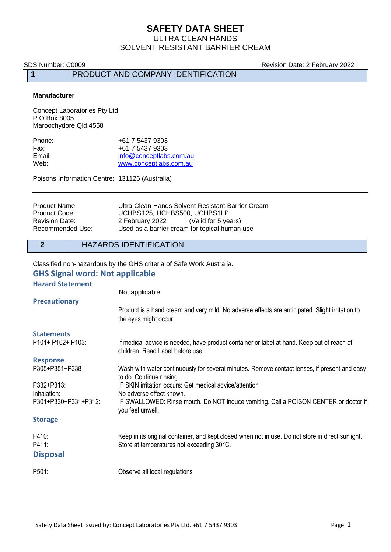ULTRA CLEAN HANDS SOLVENT RESISTANT BARRIER CREAM

SDS Number: C0009 **Revision Date: 2 February 2022** 

**1** PRODUCT AND COMPANY IDENTIFICATION

#### **Manufacturer**

Concept Laboratories Pty Ltd P.O Box 8005 Maroochydore Qld 4558

| Phone: | +61 7 5437 9303         |
|--------|-------------------------|
| Fax:   | +61 7 5437 9303         |
| Email: | info@conceptlabs.com.au |
| Web:   | www.conceptlabs.com.au  |

Poisons Information Centre: 131126 (Australia)

| Product Name:    | Ultra-Clean Hands Solvent Resistant Barrier Cream |  |  |
|------------------|---------------------------------------------------|--|--|
| Product Code:    | UCHBS125, UCHBS500, UCHBS1LP                      |  |  |
| Revision Date:   | 2 February 2022<br>(Valid for 5 years)            |  |  |
| Recommended Use: | Used as a barrier cream for topical human use     |  |  |

## **2** HAZARDS IDENTIFICATION

Classified non-hazardous by the GHS criteria of Safe Work Australia.

## **GHS Signal word: Not applicable**

#### **Hazard Statement**

|                      | Not applicable                                                                                                                 |  |
|----------------------|--------------------------------------------------------------------------------------------------------------------------------|--|
| <b>Precautionary</b> |                                                                                                                                |  |
|                      | Product is a hand cream and very mild. No adverse effects are anticipated. Slight irritation to<br>the eyes might occur        |  |
| <b>Statements</b>    |                                                                                                                                |  |
| P101+ P102+ P103:    | If medical advice is needed, have product container or label at hand. Keep out of reach of<br>children. Read Label before use. |  |
| <b>Response</b>      |                                                                                                                                |  |
| P305+P351+P338       | Wash with water continuously for several minutes. Remove contact lenses, if present and easy<br>to do. Continue rinsing.       |  |
| P332+P313:           | IF SKIN irritation occurs: Get medical advice/attention                                                                        |  |
| Inhalation:          | No adverse effect known.                                                                                                       |  |
| P301+P330+P331+P312: | IF SWALLOWED: Rinse mouth. Do NOT induce vomiting. Call a POISON CENTER or doctor if<br>you feel unwell.                       |  |
| <b>Storage</b>       |                                                                                                                                |  |
| P410:                | Keep in its original container, and kept closed when not in use. Do not store in direct sunlight.                              |  |
| P411:                | Store at temperatures not exceeding 30°C.                                                                                      |  |
| <b>Disposal</b>      |                                                                                                                                |  |
| P501:                | Observe all local regulations                                                                                                  |  |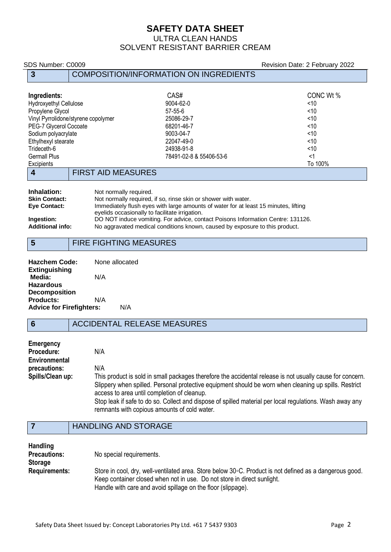## ULTRA CLEAN HANDS SOLVENT RESISTANT BARRIER CREAM

# SDS Number: C0009 Revision Date: 2 February 2022 **3** COMPOSITION/INFORMATION ON INGREDIENTS **Ingredients:** CAS# CONC Wt % Hydroxyethyl Cellulose 9004-62-0 <10 Propylene Glycol 57-55-6 <10 Vinyl Pyrrolidone/styrene copolymer  $25086-29-7$  <10<br>PEG-7 Glycerol Cocoate <10 PEG-7 Glycerol Cocoate Sodium polyacrylate <10 Ethylhexyl stearate <10<br>
Trideceth-6 <10<br>
22047-49-0 <20047-49-0 <24938-91-8 <24938-91-8 <210 Trideceth-6 24938-91-8 <10 Germall Plus 78491-02-8 & 55406-53-6 <1 Excipients To 100% **4** FIRST AID MEASURES **Inhalation:** Not normally required.<br> **Skin Contact:** Not normally required. **Skin Contact:** Not normally required, if so, rinse skin or shower with water.<br> **Eye Contact:** Immediately flush eyes with large amounts of water for at lea Immediately flush eyes with large amounts of water for at least 15 minutes, lifting eyelids occasionally to facilitate irrigation. **Ingestion:** DO NOT induce vomiting. For advice, contact Poisons Information Centre: 131126. **Additional info:** No aggravated medical conditions known, caused by exposure to this product. **5** FIRE FIGHTING MEASURES

| <b>Hazchem Code:</b>                   |     | None allocated |
|----------------------------------------|-----|----------------|
| <b>Extinguishing</b>                   |     |                |
| Media:                                 | N/A |                |
| <b>Hazardous</b>                       |     |                |
| <b>Decomposition</b>                   |     |                |
| <b>Products:</b>                       | N/A |                |
| <b>Advice for Firefighters:</b><br>N/A |     |                |

## **6** ACCIDENTAL RELEASE MEASURES

| <b>Emergency</b> |                                                                                                                                                          |
|------------------|----------------------------------------------------------------------------------------------------------------------------------------------------------|
| Procedure:       | N/A                                                                                                                                                      |
| Environmental    |                                                                                                                                                          |
| precautions:     | N/A                                                                                                                                                      |
| Spills/Clean up: | This product is sold in small packages therefore the accidental release is not usually cause for concern.                                                |
|                  | Slippery when spilled. Personal protective equipment should be worn when cleaning up spills. Restrict<br>access to area until completion of cleanup.     |
|                  | Stop leak if safe to do so. Collect and dispose of spilled material per local regulations. Wash away any<br>remnants with copious amounts of cold water. |

## **7** HANDLING AND STORAGE

| Handling<br><b>Precautions:</b><br><b>Storage</b> | No special requirements.                                                                                                                                                                                                                            |
|---------------------------------------------------|-----------------------------------------------------------------------------------------------------------------------------------------------------------------------------------------------------------------------------------------------------|
| <b>Requirements:</b>                              | Store in cool, dry, well-ventilated area. Store below 30 °C. Product is not defined as a dangerous good.<br>Keep container closed when not in use. Do not store in direct sunlight.<br>Handle with care and avoid spillage on the floor (slippage). |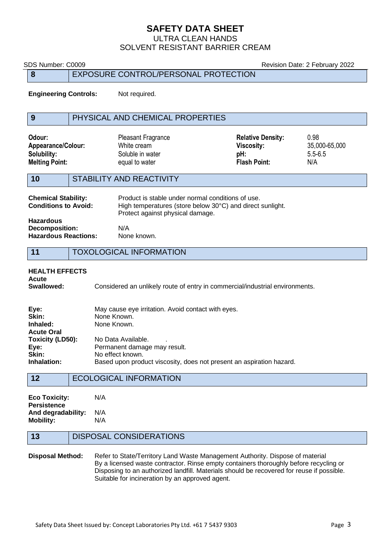## ULTRA CLEAN HANDS SOLVENT RESISTANT BARRIER CREAM

| SDS Number: C0009                                                                                                                                                                                                                                                                                                                        |                                |                                                                                                      |                                                                                                                | Revision Date: 2 February 2022              |
|------------------------------------------------------------------------------------------------------------------------------------------------------------------------------------------------------------------------------------------------------------------------------------------------------------------------------------------|--------------------------------|------------------------------------------------------------------------------------------------------|----------------------------------------------------------------------------------------------------------------|---------------------------------------------|
| 8                                                                                                                                                                                                                                                                                                                                        |                                | EXPOSURE CONTROL/PERSONAL PROTECTION                                                                 |                                                                                                                |                                             |
| <b>Engineering Controls:</b>                                                                                                                                                                                                                                                                                                             |                                | Not required.                                                                                        |                                                                                                                |                                             |
| 9                                                                                                                                                                                                                                                                                                                                        |                                | PHYSICAL AND CHEMICAL PROPERTIES                                                                     |                                                                                                                |                                             |
| Odour:<br>Appearance/Colour:<br>Solubility:<br><b>Melting Point:</b>                                                                                                                                                                                                                                                                     |                                | <b>Pleasant Fragrance</b><br>White cream<br>Soluble in water<br>equal to water                       | <b>Relative Density:</b><br><b>Viscosity:</b><br>pH:<br><b>Flash Point:</b>                                    | 0.98<br>35,000-65,000<br>$5.5 - 6.5$<br>N/A |
| STABILITY AND REACTIVITY<br>10                                                                                                                                                                                                                                                                                                           |                                |                                                                                                      |                                                                                                                |                                             |
| <b>Chemical Stability:</b><br><b>Conditions to Avoid:</b><br><b>Hazardous</b><br><b>Decomposition:</b><br>N/A<br><b>Hazardous Reactions:</b>                                                                                                                                                                                             |                                | Protect against physical damage.<br>None known.                                                      | Product is stable under normal conditions of use.<br>High temperatures (store below 30°C) and direct sunlight. |                                             |
| <b>TOXOLOGICAL INFORMATION</b><br>11                                                                                                                                                                                                                                                                                                     |                                |                                                                                                      |                                                                                                                |                                             |
| <b>HEALTH EFFECTS</b><br><b>Acute</b><br>Swallowed:<br>Considered an unlikely route of entry in commercial/industrial environments.                                                                                                                                                                                                      |                                |                                                                                                      |                                                                                                                |                                             |
| Eye:<br>May cause eye irritation. Avoid contact with eyes.<br>Skin:<br>None Known.<br>Inhaled:<br>None Known.<br><b>Acute Oral</b><br>Toxicity (LD50):<br>No Data Available.<br>Eye:<br>Permanent damage may result.<br>Skin:<br>No effect known.<br>Inhalation:<br>Based upon product viscosity, does not present an aspiration hazard. |                                |                                                                                                      |                                                                                                                |                                             |
| <b>ECOLOGICAL INFORMATION</b><br>12                                                                                                                                                                                                                                                                                                      |                                |                                                                                                      |                                                                                                                |                                             |
| <b>Eco Toxicity:</b><br><b>Persistence</b><br>And degradability:<br><b>Mobility:</b>                                                                                                                                                                                                                                                     | N/A<br>N/A<br>N/A              |                                                                                                      |                                                                                                                |                                             |
| 13                                                                                                                                                                                                                                                                                                                                       | <b>DISPOSAL CONSIDERATIONS</b> |                                                                                                      |                                                                                                                |                                             |
|                                                                                                                                                                                                                                                                                                                                          |                                | <b>Disposal Method:</b> Refer to State/Territory Land Waste Management Authority Dispose of material |                                                                                                                |                                             |

**Disposal Method:** Refer to State/Territory Land Waste Management Authority. Dispose of material By a licensed waste contractor. Rinse empty containers thoroughly before recycling or Disposing to an authorized landfill. Materials should be recovered for reuse if possible. Suitable for incineration by an approved agent.